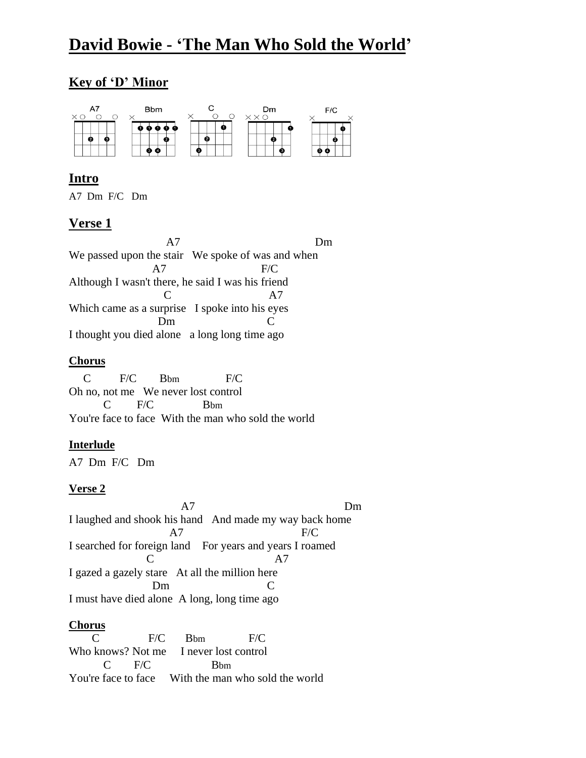# **David Bowie - 'The Man Who Sold the World'**

# **Key of 'D' Minor**



# **Intro**

A7 Dm F/C Dm

## **Verse 1**

 A7 Dm We passed upon the stair We spoke of was and when A7 F/C Although I wasn't there, he said I was his friend C A7 Which came as a surprise I spoke into his eyes Dm C I thought you died alone a long long time ago

#### **Chorus**

 C F/C Bbm F/C Oh no, not me We never lost control C F/C Bbm You're face to face With the man who sold the world

## **Interlude**

A7 Dm F/C Dm

## **Verse 2**

 A7 Dm I laughed and shook his hand And made my way back home A7 F/C I searched for foreign land For years and years I roamed C A7 I gazed a gazely stare At all the million here Dm C I must have died alone A long, long time ago

#### **Chorus**

 C F/C Bbm F/C Who knows? Not me I never lost control  $C$  F/C Bbm You're face to face With the man who sold the world